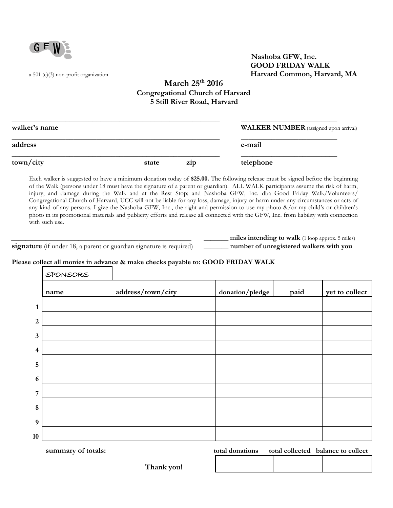

 **Nashoba GFW, Inc. GOOD FRIDAY WALK**  a 501 (c)(3) non-profit organization **Harvard Common, Harvard, MA**

## **March 25th 2016 Congregational Church of Harvard 5 Still River Road, Harvard**

| walker's name |       |     | <b>WALKER NUMBER</b> (assigned upon arrival) |  |  |
|---------------|-------|-----|----------------------------------------------|--|--|
| address       |       |     | e-mail                                       |  |  |
| town/city     | state | Z1D | telephone                                    |  |  |

Each walker is suggested to have a minimum donation today of **\$25.00.** The following release must be signed before the beginning of the Walk (persons under 18 must have the signature of a parent or guardian). ALL WALK participants assume the risk of harm, injury, and damage during the Walk and at the Rest Stop; and Nashoba GFW, Inc. dba Good Friday Walk/Volunteers/ Congregational Church of Harvard, UCC will not be liable for any loss, damage, injury or harm under any circumstances or acts of any kind of any persons. I give the Nashoba GFW, Inc., the right and permission to use my photo &/or my child's or children's photo in its promotional materials and publicity efforts and release all connected with the GFW, Inc. from liability with connection with such use.

 **signature** (if under 18, a parent or guardian signature is required) \_\_\_\_\_\_\_\_ **number of unregistered walkers with you** 

\_\_\_\_\_\_\_\_\_\_\_\_\_\_\_\_\_\_\_\_\_\_\_\_\_\_\_\_\_\_\_\_\_\_\_\_\_\_\_\_\_\_\_\_\_\_\_\_\_\_\_ \_\_\_\_\_\_\_ **miles intending to walk** (1 loop approx. 5 miles)

# **Please collect all monies in advance & make checks payable to: GOOD FRIDAY WALK**

|                  | SPONSORS |                   |                 |      |                |
|------------------|----------|-------------------|-----------------|------|----------------|
|                  | name     | address/town/city | donation/pledge | paid | yet to collect |
| $\mathbf{1}$     |          |                   |                 |      |                |
| $\boldsymbol{2}$ |          |                   |                 |      |                |
| $\mathbf{3}$     |          |                   |                 |      |                |
| $\overline{4}$   |          |                   |                 |      |                |
| $\overline{5}$   |          |                   |                 |      |                |
| 6                |          |                   |                 |      |                |
| $\overline{7}$   |          |                   |                 |      |                |
| $\bf 8$          |          |                   |                 |      |                |
| $\boldsymbol{9}$ |          |                   |                 |      |                |
| 10               |          |                   |                 |      |                |

**summary of totals: total donations total collected balance to collect**

| Thank you! |  |
|------------|--|
|------------|--|